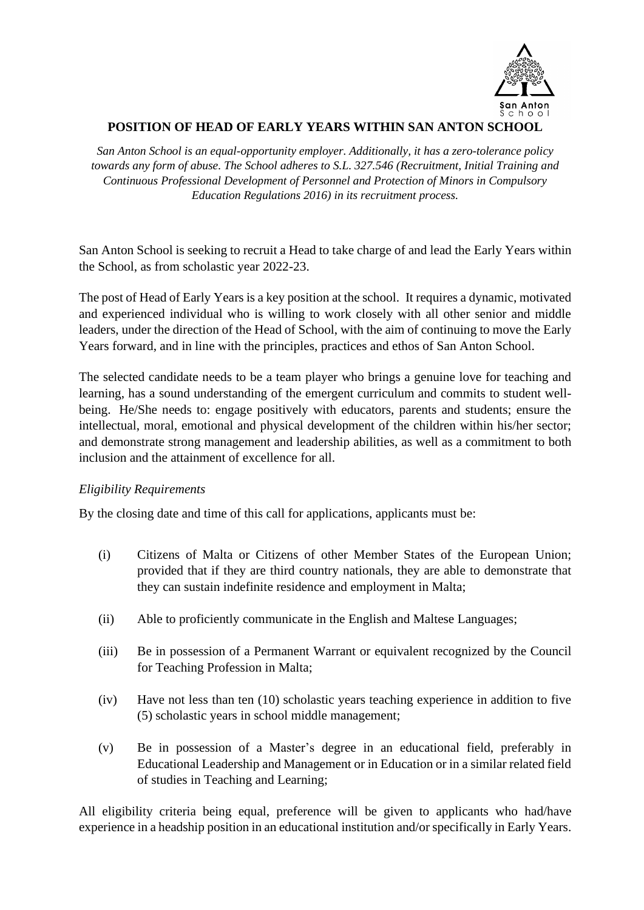

# **POSITION OF HEAD OF EARLY YEARS WITHIN SAN ANTON SCHOOL**

*San Anton School is an equal-opportunity employer. Additionally, it has a zero-tolerance policy towards any form of abuse. The School adheres to S.L. 327.546 (Recruitment, Initial Training and Continuous Professional Development of Personnel and Protection of Minors in Compulsory Education Regulations 2016) in its recruitment process.*

San Anton School is seeking to recruit a Head to take charge of and lead the Early Years within the School, as from scholastic year 2022-23.

The post of Head of Early Years is a key position at the school. It requires a dynamic, motivated and experienced individual who is willing to work closely with all other senior and middle leaders, under the direction of the Head of School, with the aim of continuing to move the Early Years forward, and in line with the principles, practices and ethos of San Anton School.

The selected candidate needs to be a team player who brings a genuine love for teaching and learning, has a sound understanding of the emergent curriculum and commits to student wellbeing. He/She needs to: engage positively with educators, parents and students; ensure the intellectual, moral, emotional and physical development of the children within his/her sector; and demonstrate strong management and leadership abilities, as well as a commitment to both inclusion and the attainment of excellence for all.

## *Eligibility Requirements*

By the closing date and time of this call for applications, applicants must be:

- (i) Citizens of Malta or Citizens of other Member States of the European Union; provided that if they are third country nationals, they are able to demonstrate that they can sustain indefinite residence and employment in Malta;
- (ii) Able to proficiently communicate in the English and Maltese Languages;
- (iii) Be in possession of a Permanent Warrant or equivalent recognized by the Council for Teaching Profession in Malta;
- (iv) Have not less than ten (10) scholastic years teaching experience in addition to five (5) scholastic years in school middle management;
- (v) Be in possession of a Master's degree in an educational field, preferably in Educational Leadership and Management or in Education or in a similar related field of studies in Teaching and Learning;

All eligibility criteria being equal, preference will be given to applicants who had/have experience in a headship position in an educational institution and/or specifically in Early Years.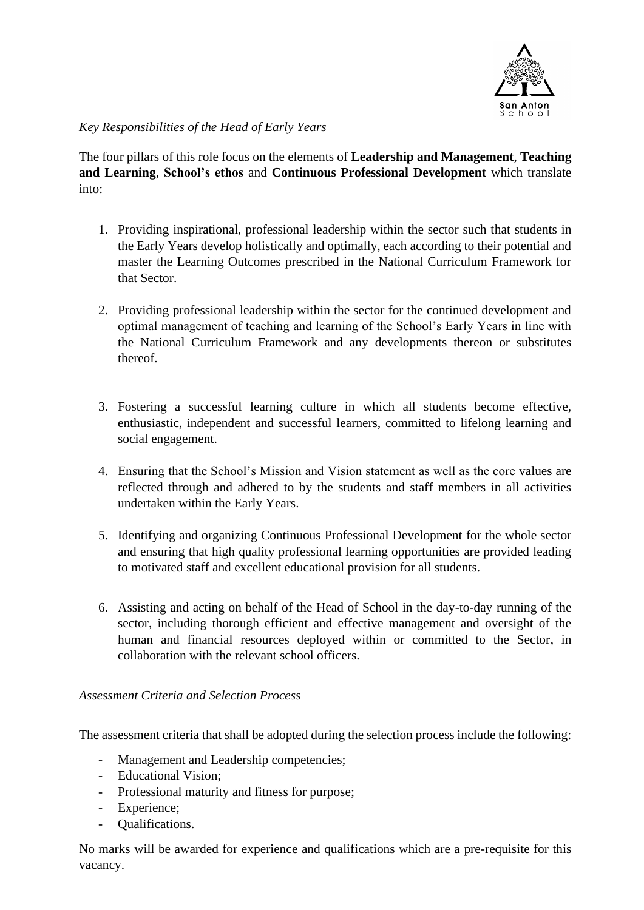

# *Key Responsibilities of the Head of Early Years*

The four pillars of this role focus on the elements of **Leadership and Management**, **Teaching and Learning**, **School's ethos** and **Continuous Professional Development** which translate into:

- 1. Providing inspirational, professional leadership within the sector such that students in the Early Years develop holistically and optimally, each according to their potential and master the Learning Outcomes prescribed in the National Curriculum Framework for that Sector.
- 2. Providing professional leadership within the sector for the continued development and optimal management of teaching and learning of the School's Early Years in line with the National Curriculum Framework and any developments thereon or substitutes thereof.
- 3. Fostering a successful learning culture in which all students become effective, enthusiastic, independent and successful learners, committed to lifelong learning and social engagement.
- 4. Ensuring that the School's Mission and Vision statement as well as the core values are reflected through and adhered to by the students and staff members in all activities undertaken within the Early Years.
- 5. Identifying and organizing Continuous Professional Development for the whole sector and ensuring that high quality professional learning opportunities are provided leading to motivated staff and excellent educational provision for all students.
- 6. Assisting and acting on behalf of the Head of School in the day-to-day running of the sector, including thorough efficient and effective management and oversight of the human and financial resources deployed within or committed to the Sector, in collaboration with the relevant school officers.

## *Assessment Criteria and Selection Process*

The assessment criteria that shall be adopted during the selection process include the following:

- Management and Leadership competencies;
- Educational Vision;
- Professional maturity and fitness for purpose;
- Experience;
- Qualifications.

No marks will be awarded for experience and qualifications which are a pre-requisite for this vacancy.